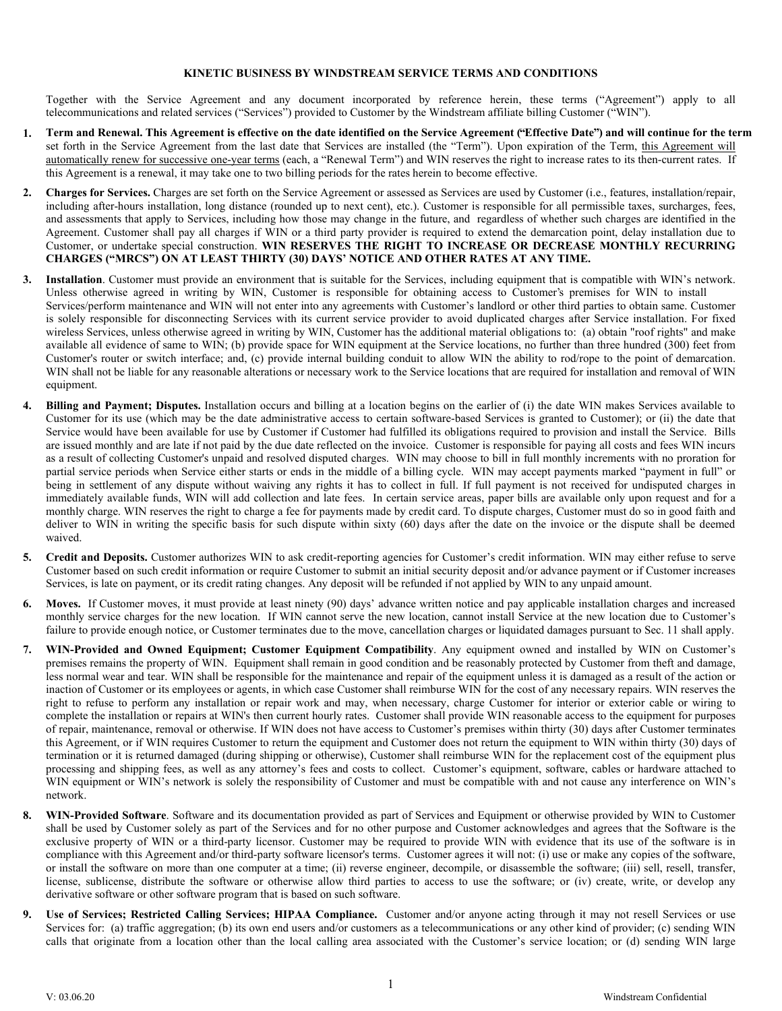#### **KINETIC BUSINESS BY WINDSTREAM SERVICE TERMS AND CONDITIONS**

Together with the Service Agreement and any document incorporated by reference herein, these terms ("Agreement") apply to all telecommunications and related services ("Services") provided to Customer by the Windstream affiliate billing Customer ("WIN").

- **1. Term and Renewal. This Agreement is effective on the date identified on the Service Agreement ("Effective Date") and will continue for the term** set forth in the Service Agreement from the last date that Services are installed (the "Term"). Upon expiration of the Term, this Agreement will automatically renew for successive one-year terms (each, a "Renewal Term") and WIN reserves the right to increase rates to its then-current rates. If this Agreement is a renewal, it may take one to two billing periods for the rates herein to become effective.
- **2. Charges for Services.** Charges are set forth on the Service Agreement or assessed as Services are used by Customer (i.e., features, installation/repair, including after-hours installation, long distance (rounded up to next cent), etc.). Customer is responsible for all permissible taxes, surcharges, fees, and assessments that apply to Services, including how those may change in the future, and regardless of whether such charges are identified in the Agreement. Customer shall pay all charges if WIN or a third party provider is required to extend the demarcation point, delay installation due to Customer, or undertake special construction. **WIN RESERVES THE RIGHT TO INCREASE OR DECREASE MONTHLY RECURRING CHARGES ("MRCS") ON AT LEAST THIRTY (30) DAYS' NOTICE AND OTHER RATES AT ANY TIME.**
- **3. Installation**. Customer must provide an environment that is suitable for the Services, including equipment that is compatible with WIN's network. Services/perform maintenance and WIN will not enter into any agreements with Customer's landlord or other third parties to obtain same. Customer is solely responsible for disconnecting Services with its current service provider to avoid duplicated charges after Service installation. For fixed wireless Services, unless otherwise agreed in writing by WIN, Customer has the additional material obligations to: (a) obtain "roof rights" and make available all evidence of same to WIN; (b) provide space for WIN equipment at the Service locations, no further than three hundred (300) feet from Customer's router or switch interface; and, (c) provide internal building conduit to allow WIN the ability to rod/rope to the point of demarcation. WIN shall not be liable for any reasonable alterations or necessary work to the Service locations that are required for installation and removal of WIN equipment. Unless otherwise agreed in writing by WIN, Customer is responsible for obtaining access to Customer's premises for WIN to install
- **4. Billing and Payment; Disputes.** Installation occurs and billing at a location begins on the earlier of (i) the date WIN makes Services available to Customer for its use (which may be the date administrative access to certain software-based Services is granted to Customer); or (ii) the date that Service would have been available for use by Customer if Customer had fulfilled its obligations required to provision and install the Service.Bills are issued monthly and are late if not paid by the due date reflected on the invoice. Customer is responsible for paying all costs and fees WIN incurs as a result of collecting Customer's unpaid and resolved disputed charges. WIN may choose to bill in full monthly increments with no proration for partial service periods when Service either starts or ends in the middle of a billing cycle. WIN may accept payments marked "payment in full" or being in settlement of any dispute without waiving any rights it has to collect in full. If full payment is not received for undisputed charges in immediately available funds, WIN will add collection and late fees. In certain service areas, paper bills are available only upon request and for a monthly charge. WIN reserves the right to charge a fee for payments made by credit card. To dispute charges, Customer must do so in good faith and deliver to WIN in writing the specific basis for such dispute within sixty (60) days after the date on the invoice or the dispute shall be deemed waived.
- **5. Credit and Deposits.** Customer authorizes WIN to ask credit-reporting agencies for Customer's credit information. WIN may either refuse to serve Customer based on such credit information or require Customer to submit an initial security deposit and/or advance payment or if Customer increases Services, is late on payment, or its credit rating changes. Any deposit will be refunded if not applied by WIN to any unpaid amount.
- **6. Moves.** If Customer moves, it must provide at least ninety (90) days' advance written notice and pay applicable installation charges and increased monthly service charges for the new location. If WIN cannot serve the new location, cannot install Service at the new location due to Customer's failure to provide enough notice, or Customer terminates due to the move, cancellation charges or liquidated damages pursuant to Sec. 11 shall apply.
- **7. WIN-Provided and Owned Equipment; Customer Equipment Compatibility**. Any equipment owned and installed by WIN on Customer's premises remains the property of WIN. Equipment shall remain in good condition and be reasonably protected by Customer from theft and damage, less normal wear and tear. WIN shall be responsible for the maintenance and repair of the equipment unless it is damaged as a result of the action or inaction of Customer or its employees or agents, in which case Customer shall reimburse WIN for the cost of any necessary repairs. WIN reserves the right to refuse to perform any installation or repair work and may, when necessary, charge Customer for interior or exterior cable or wiring to complete the installation or repairs at WIN's then current hourly rates. Customer shall provide WIN reasonable access to the equipment for purposes of repair, maintenance, removal or otherwise. If WIN does not have access to Customer's premises within thirty (30) days after Customer terminates this Agreement, or if WIN requires Customer to return the equipment and Customer does not return the equipment to WIN within thirty (30) days of termination or it is returned damaged (during shipping or otherwise), Customer shall reimburse WIN for the replacement cost of the equipment plus processing and shipping fees, as well as any attorney's fees and costs to collect. Customer's equipment, software, cables or hardware attached to WIN equipment or WIN's network is solely the responsibility of Customer and must be compatible with and not cause any interference on WIN's network.
- **8. WIN-Provided Software**. Software and its documentation provided as part of Services and Equipment or otherwise provided by WIN to Customer shall be used by Customer solely as part of the Services and for no other purpose and Customer acknowledges and agrees that the Software is the exclusive property of WIN or a third-party licensor. Customer may be required to provide WIN with evidence that its use of the software is in compliance with this Agreement and/or third-party software licensor's terms. Customer agrees it will not: (i) use or make any copies of the software, or install the software on more than one computer at a time; (ii) reverse engineer, decompile, or disassemble the software; (iii) sell, resell, transfer, license, sublicense, distribute the software or otherwise allow third parties to access to use the software; or (iv) create, write, or develop any derivative software or other software program that is based on such software.
- **9. Use of Services; Restricted Calling Services; HIPAA Compliance.** Customer and/or anyone acting through it may not resell Services or use Services for: (a) traffic aggregation; (b) its own end users and/or customers as a telecommunications or any other kind of provider; (c) sending WIN calls that originate from a location other than the local calling area associated with the Customer's service location; or (d) sending WIN large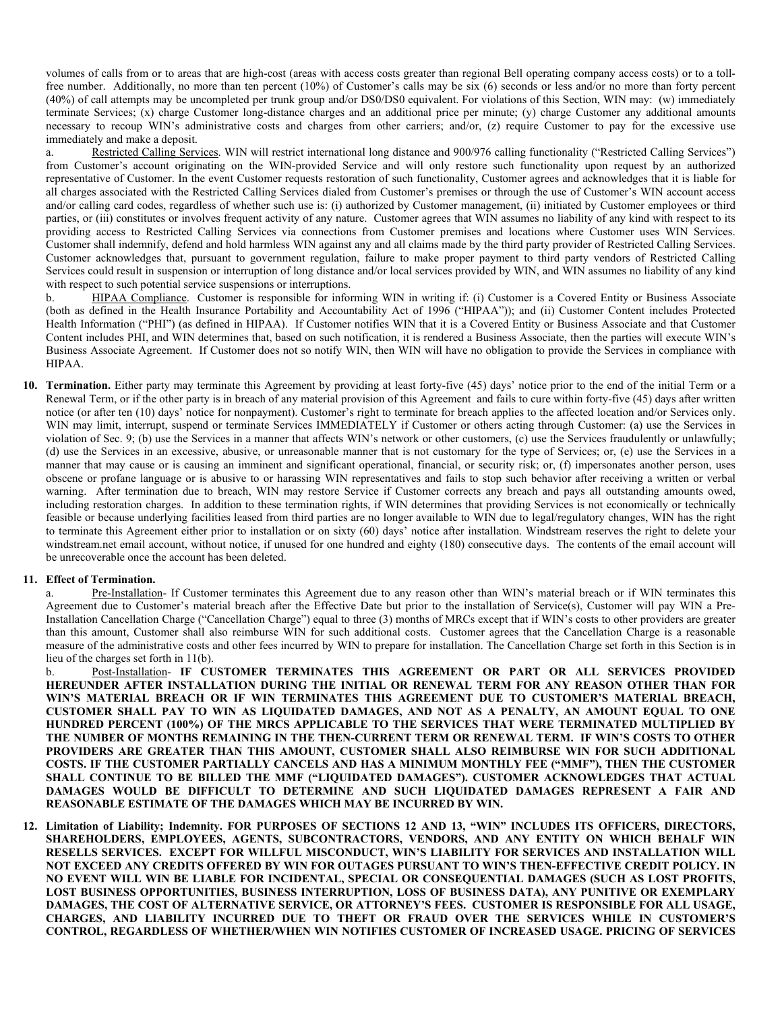volumes of calls from or to areas that are high-cost (areas with access costs greater than regional Bell operating company access costs) or to a tollfree number. Additionally, no more than ten percent (10%) of Customer's calls may be six (6) seconds or less and/or no more than forty percent (40%) of call attempts may be uncompleted per trunk group and/or DS0/DS0 equivalent. For violations of this Section, WIN may: (w) immediately terminate Services; (x) charge Customer long-distance charges and an additional price per minute; (y) charge Customer any additional amounts necessary to recoup WIN's administrative costs and charges from other carriers; and/or, (z) require Customer to pay for the excessive use immediately and make a deposit.

a. Restricted Calling Services. WIN will restrict international long distance and 900/976 calling functionality ("Restricted Calling Services") from Customer's account originating on the WIN-provided Service and will only restore such functionality upon request by an authorized representative of Customer. In the event Customer requests restoration of such functionality, Customer agrees and acknowledges that it is liable for all charges associated with the Restricted Calling Services dialed from Customer's premises or through the use of Customer's WIN account access and/or calling card codes, regardless of whether such use is: (i) authorized by Customer management, (ii) initiated by Customer employees or third parties, or (iii) constitutes or involves frequent activity of any nature. Customer agrees that WIN assumes no liability of any kind with respect to its providing access to Restricted Calling Services via connections from Customer premises and locations where Customer uses WIN Services. Customer shall indemnify, defend and hold harmless WIN against any and all claims made by the third party provider of Restricted Calling Services. Customer acknowledges that, pursuant to government regulation, failure to make proper payment to third party vendors of Restricted Calling Services could result in suspension or interruption of long distance and/or local services provided by WIN, and WIN assumes no liability of any kind with respect to such potential service suspensions or interruptions.

b. HIPAA Compliance. Customer is responsible for informing WIN in writing if: (i) Customer is a Covered Entity or Business Associate (both as defined in the Health Insurance Portability and Accountability Act of 1996 ("HIPAA")); and (ii) Customer Content includes Protected Health Information ("PHI") (as defined in HIPAA). If Customer notifies WIN that it is a Covered Entity or Business Associate and that Customer Content includes PHI, and WIN determines that, based on such notification, it is rendered a Business Associate, then the parties will execute WIN's Business Associate Agreement. If Customer does not so notify WIN, then WIN will have no obligation to provide the Services in compliance with HIPAA.

**10. Termination.** Either party may terminate this Agreement by providing at least forty-five (45) days' notice prior to the end of the initial Term or a Renewal Term, or if the other party is in breach of any material provision of this Agreement and fails to cure within forty-five (45) days after written notice (or after ten (10) days' notice for nonpayment). Customer's right to terminate for breach applies to the affected location and/or Services only. WIN may limit, interrupt, suspend or terminate Services IMMEDIATELY if Customer or others acting through Customer: (a) use the Services in violation of Sec. 9; (b) use the Services in a manner that affects WIN's network or other customers, (c) use the Services fraudulently or unlawfully; (d) use the Services in an excessive, abusive, or unreasonable manner that is not customary for the type of Services; or, (e) use the Services in a manner that may cause or is causing an imminent and significant operational, financial, or security risk; or, (f) impersonates another person, uses obscene or profane language or is abusive to or harassing WIN representatives and fails to stop such behavior after receiving a written or verbal warning. After termination due to breach, WIN may restore Service if Customer corrects any breach and pays all outstanding amounts owed, including restoration charges. In addition to these termination rights, if WIN determines that providing Services is not economically or technically feasible or because underlying facilities leased from third parties are no longer available to WIN due to legal/regulatory changes, WIN has the right to terminate this Agreement either prior to installation or on sixty (60) days' notice after installation. Windstream reserves the right to delete your windstream.net email account, without notice, if unused for one hundred and eighty (180) consecutive days. The contents of the email account will be unrecoverable once the account has been deleted.

#### **11. Effect of Termination.**

a. Pre-Installation- If Customer terminates this Agreement due to any reason other than WIN's material breach or if WIN terminates this Agreement due to Customer's material breach after the Effective Date but prior to the installation of Service(s), Customer will pay WIN a Pre-Installation Cancellation Charge ("Cancellation Charge") equal to three (3) months of MRCs except that if WIN's costs to other providers are greater than this amount, Customer shall also reimburse WIN for such additional costs. Customer agrees that the Cancellation Charge is a reasonable measure of the administrative costs and other fees incurred by WIN to prepare for installation. The Cancellation Charge set forth in this Section is in lieu of the charges set forth in 11(b).

b. Post-Installation- **IF CUSTOMER TERMINATES THIS AGREEMENT OR PART OR ALL SERVICES PROVIDED HEREUNDER AFTER INSTALLATION DURING THE INITIAL OR RENEWAL TERM FOR ANY REASON OTHER THAN FOR WIN'S MATERIAL BREACH OR IF WIN TERMINATES THIS AGREEMENT DUE TO CUSTOMER'S MATERIAL BREACH, CUSTOMER SHALL PAY TO WIN AS LIQUIDATED DAMAGES, AND NOT AS A PENALTY, AN AMOUNT EQUAL TO ONE HUNDRED PERCENT (100%) OF THE MRCS APPLICABLE TO THE SERVICES THAT WERE TERMINATED MULTIPLIED BY THE NUMBER OF MONTHS REMAINING IN THE THEN-CURRENT TERM OR RENEWAL TERM. IF WIN'S COSTS TO OTHER PROVIDERS ARE GREATER THAN THIS AMOUNT, CUSTOMER SHALL ALSO REIMBURSE WIN FOR SUCH ADDITIONAL COSTS. IF THE CUSTOMER PARTIALLY CANCELS AND HAS A MINIMUM MONTHLY FEE ("MMF"), THEN THE CUSTOMER SHALL CONTINUE TO BE BILLED THE MMF ("LIQUIDATED DAMAGES"). CUSTOMER ACKNOWLEDGES THAT ACTUAL DAMAGES WOULD BE DIFFICULT TO DETERMINE AND SUCH LIQUIDATED DAMAGES REPRESENT A FAIR AND REASONABLE ESTIMATE OF THE DAMAGES WHICH MAY BE INCURRED BY WIN.** 

**12. Limitation of Liability; Indemnity. FOR PURPOSES OF SECTIONS 12 AND 13, "WIN" INCLUDES ITS OFFICERS, DIRECTORS, SHAREHOLDERS, EMPLOYEES, AGENTS, SUBCONTRACTORS, VENDORS, AND ANY ENTITY ON WHICH BEHALF WIN RESELLS SERVICES. EXCEPT FOR WILLFUL MISCONDUCT, WIN'S LIABILITY FOR SERVICES AND INSTALLATION WILL NOT EXCEED ANY CREDITS OFFERED BY WIN FOR OUTAGES PURSUANT TO WIN'S THEN-EFFECTIVE CREDIT POLICY. IN NO EVENT WILL WIN BE LIABLE FOR INCIDENTAL, SPECIAL OR CONSEQUENTIAL DAMAGES (SUCH AS LOST PROFITS, LOST BUSINESS OPPORTUNITIES, BUSINESS INTERRUPTION, LOSS OF BUSINESS DATA), ANY PUNITIVE OR EXEMPLARY DAMAGES, THE COST OF ALTERNATIVE SERVICE, OR ATTORNEY'S FEES. CUSTOMER IS RESPONSIBLE FOR ALL USAGE, CHARGES, AND LIABILITY INCURRED DUE TO THEFT OR FRAUD OVER THE SERVICES WHILE IN CUSTOMER'S CONTROL, REGARDLESS OF WHETHER/WHEN WIN NOTIFIES CUSTOMER OF INCREASED USAGE. PRICING OF SERVICES**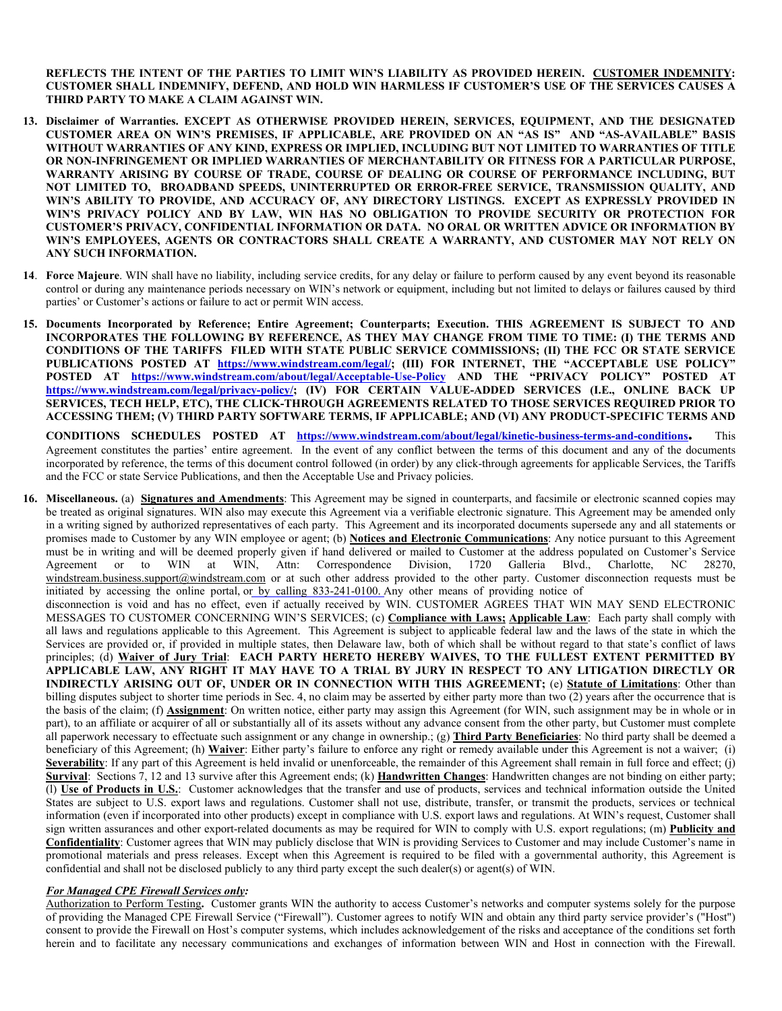**REFLECTS THE INTENT OF THE PARTIES TO LIMIT WIN'S LIABILITY AS PROVIDED HEREIN. CUSTOMER INDEMNITY: CUSTOMER SHALL INDEMNIFY, DEFEND, AND HOLD WIN HARMLESS IF CUSTOMER'S USE OF THE SERVICES CAUSES A THIRD PARTY TO MAKE A CLAIM AGAINST WIN.**

- **13. Disclaimer of Warranties. EXCEPT AS OTHERWISE PROVIDED HEREIN, SERVICES, EQUIPMENT, AND THE DESIGNATED CUSTOMER AREA ON WIN'S PREMISES, IF APPLICABLE, ARE PROVIDED ON AN "AS IS" AND "AS-AVAILABLE" BASIS WITHOUT WARRANTIES OF ANY KIND, EXPRESS OR IMPLIED, INCLUDING BUT NOT LIMITED TO WARRANTIES OF TITLE OR NON-INFRINGEMENT OR IMPLIED WARRANTIES OF MERCHANTABILITY OR FITNESS FOR A PARTICULAR PURPOSE, WARRANTY ARISING BY COURSE OF TRADE, COURSE OF DEALING OR COURSE OF PERFORMANCE INCLUDING, BUT NOT LIMITED TO, BROADBAND SPEEDS, UNINTERRUPTED OR ERROR-FREE SERVICE, TRANSMISSION QUALITY, AND WIN'S ABILITY TO PROVIDE, AND ACCURACY OF, ANY DIRECTORY LISTINGS. EXCEPT AS EXPRESSLY PROVIDED IN WIN'S PRIVACY POLICY AND BY LAW, WIN HAS NO OBLIGATION TO PROVIDE SECURITY OR PROTECTION FOR CUSTOMER'S PRIVACY, CONFIDENTIAL INFORMATION OR DATA. NO ORAL OR WRITTEN ADVICE OR INFORMATION BY WIN'S EMPLOYEES, AGENTS OR CONTRACTORS SHALL CREATE A WARRANTY, AND CUSTOMER MAY NOT RELY ON ANY SUCH INFORMATION.**
- **14**. **Force Majeure**. WIN shall have no liability, including service credits, for any delay or failure to perform caused by any event beyond its reasonable control or during any maintenance periods necessary on WIN's network or equipment, including but not limited to delays or failures caused by third parties' or Customer's actions or failure to act or permit WIN access.
- **15. Documents Incorporated by Reference; Entire Agreement; Counterparts; Execution. THIS AGREEMENT IS SUBJECT TO AND INCORPORATES THE FOLLOWING BY REFERENCE, AS THEY MAY CHANGE FROM TIME TO TIME: (I) THE TERMS AND CONDITIONS OF THE TARIFFS FILED WITH STATE PUBLIC SERVICE COMMISSIONS; (II) THE FCC OR STATE SERVICE PUBLICATIONS POSTED AT [https://www.windstream.com/legal/;](https://www.windstream.com/legal/) (III) FOR INTERNET, THE "ACCEPTABLE USE POLICY" POSTED AT <https://www.windstream.com/about/legal/Acceptable-Use-Policy> AND THE "PRIVACY POLICY" POSTED AT [https://www.windstream.com/legal/privacy-policy/;](https://www.windstream.com/legal/privacy-policy/) (IV) FOR CERTAIN VALUE-ADDED SERVICES (I.E., ONLINE BACK UP SERVICES, TECH HELP, ETC), THE CLICK-THROUGH AGREEMENTS RELATED TO THOSE SERVICES REQUIRED PRIOR TO ACCESSING THEM; (V) THIRD PARTY SOFTWARE TERMS, IF APPLICABLE; AND (VI) ANY PRODUCT-SPECIFIC TERMS AND**

**CONDITIONS SCHEDULES POSTED AT [https://www.windstream.com/about/legal/kinetic-business-terms-and-conditions.](https://www.windstream.com/about/legal/kinetic-business-terms-and-conditions)**This Agreement constitutes the parties' entire agreement. In the event of any conflict between the terms of this document and any of the documents incorporated by reference, the terms of this document control followed (in order) by any click-through agreements for applicable Services, the Tariffs and the FCC or state Service Publications, and then the Acceptable Use and Privacy policies.

**16. Miscellaneous.** (a) **Signatures and Amendments**: This Agreement may be signed in counterparts, and facsimile or electronic scanned copies may be treated as original signatures. WIN also may execute this Agreement via a verifiable electronic signature. This Agreement may be amended only in a writing signed by authorized representatives of each party. This Agreement and its incorporated documents supersede any and all statements or promises made to Customer by any WIN employee or agent; (b) **Notices and Electronic Communications**: Any notice pursuant to this Agreement must be in writing and will be deemed properly given if hand delivered or mailed to Customer at the address populated on Customer's Service Agreement or to WIN at WIN, Attn: Correspondence Division, 1720 Galleria Blvd., Charlotte, NC 28270, windstream.business.support@windstream.com or at such other address provided to the other party. Customer disconnection requests must be disconnection is void and has no effect, even if actually received by WIN. CUSTOMER AGREES THAT WIN MAY SEND ELECTRONIC MESSAGES TO CUSTOMER CONCERNING WIN'S SERVICES; (c) **Compliance with Laws; Applicable Law**: Each party shall comply with all laws and regulations applicable to this Agreement. This Agreement is subject to applicable federal law and the laws of the state in which the Services are provided or, if provided in multiple states, then Delaware law, both of which shall be without regard to that state's conflict of laws principles; (d) **Waiver of Jury Trial**: **EACH PARTY HERETO HEREBY WAIVES, TO THE FULLEST EXTENT PERMITTED BY APPLICABLE LAW, ANY RIGHT IT MAY HAVE TO A TRIAL BY JURY IN RESPECT TO ANY LITIGATION DIRECTLY OR INDIRECTLY ARISING OUT OF, UNDER OR IN CONNECTION WITH THIS AGREEMENT;** (e) **Statute of Limitations**: Other than billing disputes subject to shorter time periods in Sec. 4, no claim may be asserted by either party more than two (2) years after the occurrence that is the basis of the claim; (f) **Assignment**: On written notice, either party may assign this Agreement (for WIN, such assignment may be in whole or in part), to an affiliate or acquirer of all or substantially all of its assets without any advance consent from the other party, but Customer must complete all paperwork necessary to effectuate such assignment or any change in ownership.; (g) **Third Party Beneficiaries**: No third party shall be deemed a beneficiary of this Agreement; (h) **Waiver**: Either party's failure to enforce any right or remedy available under this Agreement is not a waiver; (i) **Severability**: If any part of this Agreement is held invalid or unenforceable, the remainder of this Agreement shall remain in full force and effect; (j) **Survival**: Sections 7, 12 and 13 survive after this Agreement ends; (k) **Handwritten Changes**: Handwritten changes are not binding on either party; (l) **Use of Products in U.S.**: Customer acknowledges that the transfer and use of products, services and technical information outside the United States are subject to U.S. export laws and regulations. Customer shall not use, distribute, transfer, or transmit the products, services or technical information (even if incorporated into other products) except in compliance with U.S. export laws and regulations. At WIN's request, Customer shall sign written assurances and other export-related documents as may be required for WIN to comply with U.S. export regulations; (m) **Publicity and Confidentiality**: Customer agrees that WIN may publicly disclose that WIN is providing Services to Customer and may include Customer's name in promotional materials and press releases. Except when this Agreement is required to be filed with a governmental authority, this Agreement is confidential and shall not be disclosed publicly to any third party except the such dealer(s) or agent(s) of WIN. initiated by accessing the online portal, or by calling 833-241-0100. Any other means of providing notice of

# *For Managed CPE Firewall Services only:*

Authorization to Perform Testing**.** Customer grants WIN the authority to access Customer's networks and computer systems solely for the purpose of providing the Managed CPE Firewall Service ("Firewall"). Customer agrees to notify WIN and obtain any third party service provider's ("Host") consent to provide the Firewall on Host's computer systems, which includes acknowledgement of the risks and acceptance of the conditions set forth herein and to facilitate any necessary communications and exchanges of information between WIN and Host in connection with the Firewall.